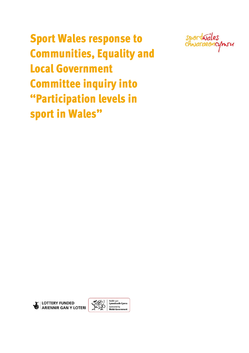Sport Wales response to Communities, Equality and Local Government Committee inquiry into "Participation levels in sport in Wales"





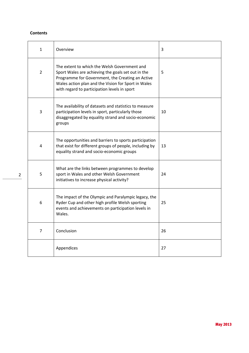## **Contents**

| $\mathbf{1}$   | Overview                                                                                                                                                                                                                                                      | 3  |
|----------------|---------------------------------------------------------------------------------------------------------------------------------------------------------------------------------------------------------------------------------------------------------------|----|
| $\overline{2}$ | The extent to which the Welsh Government and<br>Sport Wales are achieving the goals set out in the<br>Programme for Government, the Creating an Active<br>Wales action plan and the Vision for Sport in Wales<br>with regard to participation levels in sport | 5  |
| 3              | The availability of datasets and statistics to measure<br>participation levels in sport, particularly those<br>disaggregated by equality strand and socio-economic<br>groups                                                                                  | 10 |
| 4              | The opportunities and barriers to sports participation<br>that exist for different groups of people, including by<br>equality strand and socio-economic groups                                                                                                | 13 |
| 5              | What are the links between programmes to develop<br>sport in Wales and other Welsh Government<br>initiatives to increase physical activity?                                                                                                                   | 24 |
| 6              | The impact of the Olympic and Paralympic legacy, the<br>Ryder Cup and other high profile Welsh sporting<br>events and achievements on participation levels in<br>Wales.                                                                                       | 25 |
| $\overline{7}$ | Conclusion                                                                                                                                                                                                                                                    | 26 |
|                | Appendices                                                                                                                                                                                                                                                    | 27 |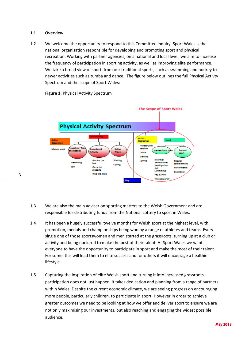#### **1.1 Overview**

3

1.2 We welcome the opportunity to respond to this Committee inquiry. Sport Wales is the national organisation responsible for developing and promoting sport and physical recreation. Working with partner agencies, on a national and local level, we aim to increase the frequency of participation in sporting activity, as well as improving elite performance. We take a broad view of sport, from our traditional sports, such as swimming and hockey to newer activities such as zumba and dance. The figure below outlines the full Physical Activty Spectrum and the scope of Sport Wales:

**Figure 1: Physical Activity Spectrum** 



- 1.3 We are also the main adviser on sporting matters to the Welsh Government and are responsible for distributing funds from the National Lottery to sport in Wales.
- 1.4 It has been a hugely successful twelve months for Welsh sport at the highest level, with promotion, medals and championships being won by a range of athletes and teams. Every single one of those sportswomen and men started at the grassroots, turning up at a club or activity and being nurtured to make the best of their talent. At Sport Wales we want everyone to have the opportunity to participate in sport and make the most of their talent. For some, this will lead them to elite success and for others it will encourage a healthier lifestyle.
- 1.5 Capturing the inspiration of elite Welsh sport and turning it into increased grassroots participation does not just happen, it takes dedication and planning from a range of partners within Wales. Despite the current economic climate, we are seeing progress on encouraging more people, particularly children, to participate in sport. However in order to achieve greater outcomes we need to be looking at how we offer and deliver sport to ensure we are not only maximising our investments, but also reaching and engaging the widest possible audience.

May 2013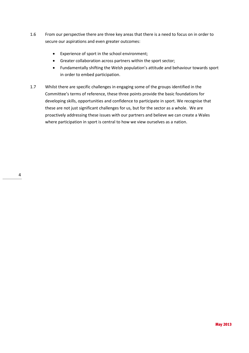- 1.6 From our perspective there are three key areas that there is a need to focus on in order to secure our aspirations and even greater outcomes:
	- Experience of sport in the school environment;
	- Greater collaboration across partners within the sport sector;
	- Fundamentally shifting the Welsh population's attitude and behaviour towards sport in order to embed participation.
- 1.7 Whilst there are specific challenges in engaging some of the groups identified in the Committee's terms of reference, these three points provide the basic foundations for developing skills, opportunities and confidence to participate in sport. We recognise that these are not just significant challenges for us, but for the sector as a whole. We are proactively addressing these issues with our partners and believe we can create a Wales where participation in sport is central to how we view ourselves as a nation.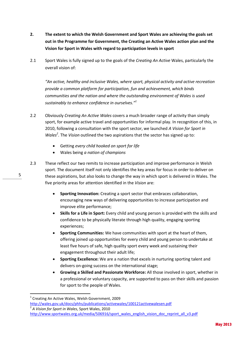- **2. The extent to which the Welsh Government and Sport Wales are achieving the goals set out in the Programme for Government, the Creating an Active Wales action plan and the Vision for Sport in Wales with regard to participation levels in sport**
- 2.1 Sport Wales is fully signed up to the goals of the *Creating An Active* Wales, particularly the overall vision of:

*"An active, healthy and inclusive Wales, where sport, physical activity and active recreation provide a common platform for participation, fun and achievement, which binds communities and the nation and where the outstanding environment of Wales is used sustainably to enhance confidence in ourselves."<sup>1</sup>*

- 2.2 Obviously *Creating An Active Wales* covers a much broader range of activity than simply sport, for example active travel and opportunities for informal play. In recognition of this, in 2010, following a consultation with the sport sector, we launched *A Vision for Sport in*  Wales<sup>2</sup>. The Vision outlined the two aspirations that the sector has signed up to:
	- Getting *every child hooked on sport for life*
	- Wales being *a nation of champions*
- 2.3 These reflect our two remits to increase participation and improve performance in Welsh sport. The document itself not only identifies the key areas for focus in order to deliver on these aspirations, but also looks to change the way in which sport is delivered in Wales. The five priority areas for attention identified in the *Vision* are:
	- **Sporting Innovation:** Creating a sport sector that embraces collaboration, encouraging new ways of delivering opportunities to increase participation and improve elite performance;
	- **Skills for a Life in Sport:** Every child and young person is provided with the skills and confidence to be physically literate through high quality, engaging sporting experiences;
	- **Sporting Communities:** We have communities with sport at the heart of them, offering joined up opportunities for every child and young person to undertake at least five hours of safe, high quality sport every week and sustaining their engagement throughout their adult life;
	- **Sporting Excellence:** We are a nation that excels in nurturing sporting talent and delivers on-going success on the international stage;
	- **Growing a Skilled and Passionate Workforce:** All those involved in sport, whether in a professional or voluntary capacity, are supported to pass on their skills and passion for sport to the people of Wales.

5

 $\overline{a}$ 

<sup>&</sup>lt;sup>1</sup> Creating An Active Wales, Welsh Government, 2009

<http://wales.gov.uk/docs/phhs/publications/activewales/100121activewalesen.pdf> 2 *A Vision for Sport in Wales*, Sport Wales, 2010

[http://www.sportwales.org.uk/media/506916/sport\\_wales\\_english\\_vision\\_doc\\_reprint\\_all\\_v3.pdf](http://www.sportwales.org.uk/media/506916/sport_wales_english_vision_doc_reprint_all_v3.pdf)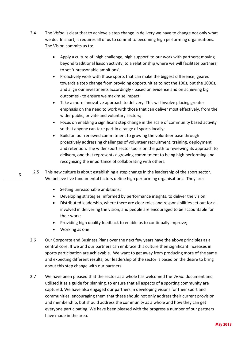- 2.4 The *Vision* is clear that to achieve a step change in delivery we have to change not only what we do. In short, it requires all of us to commit to becoming high performing organisations. The Vision commits us to:
	- Apply a culture of 'high challenge, high support' to our work with partners; moving beyond traditional liaison activity, to a relationship where we will facilitate partners to set 'unreasonable ambitions';
	- Proactively work with those sports that can make the biggest difference; geared towards a step change from providing opportunities to not the 100s, but the 1000s, and align our investments accordingly - based on evidence and on achieving big outcomes - to ensure we maximise impact;
	- Take a more innovative approach to delivery. This will involve placing greater emphasis on the need to work with those that can deliver most effectively, from the wider public, private and voluntary sectors;
	- Focus on enabling a significant step change in the scale of community based activity so that anyone can take part in a range of sports locally;
	- Build on our renewed commitment to growing the volunteer base through proactively addressing challenges of volunteer recruitment, training, deployment and retention. The wider sport sector too is on the path to reviewing its approach to delivery, one that represents a growing commitment to being high performing and recognising the importance of collaborating with others.
	- 2.5 This new culture is about establishing a step change in the leadership of the sport sector. We believe five fundamental factors define high performing organisations. They are:
		- Setting unreasonable ambitions;
		- Developing strategies, informed by performance insights, to deliver the vision;
		- Distributed leadership, where there are clear roles and responsibilities set out for all involved in delivering the vision, and people are encouraged to be accountable for their work;
		- Providing high quality feedback to enable us to continually improve;
		- Working as one.
- 2.6 Our Corporate and Business Plans over the next few years have the above principles as a central core. If we and our partners can embrace this culture then significant increases in sports participation are achievable. We want to get away from producing more of the same and expecting different results, our leadership of the sector is based on the desire to bring about this step change with our partners.
- 2.7 We have been pleased that the sector as a whole has welcomed the *Vision* document and utilised it as a guide for planning, to ensure that all aspects of a sporting community are captured. We have also engaged our partners in developing visions for their sport and communities, encouraging them that these should not only address their current provision and membership, but should address the community as a whole and how they can get everyone participating. We have been pleased with the progress a number of our partners have made in the area.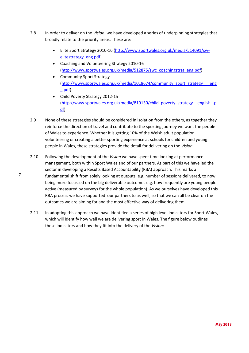- 2.8 In order to deliver on the *Vision*, we have developed a series of underpinning strategies that broadly relate to the priority areas. These are:
	- Elite Sport Strategy 2010-16 [\(http://www.sportwales.org.uk/media/514091/sw](http://www.sportwales.org.uk/media/514091/sw-elitestrategy_eng.pdf)[elitestrategy\\_eng.pdf\)](http://www.sportwales.org.uk/media/514091/sw-elitestrategy_eng.pdf)
	- Coaching and Volunteering Strategy 2010-16 [\(http://www.sportwales.org.uk/media/512875/swc\\_coachingstrat\\_eng.pdf\)](http://www.sportwales.org.uk/media/512875/swc_coachingstrat_eng.pdf)
	- Community Sport Strategy [\(http://www.sportwales.org.uk/media/1018674/community\\_sport\\_strategy\\_\\_\\_eng](http://www.sportwales.org.uk/media/1018674/community_sport_strategy___eng_.pdf) [\\_.pdf\)](http://www.sportwales.org.uk/media/1018674/community_sport_strategy___eng_.pdf)
	- Child Poverty Strategy 2012-15 [\(http://www.sportwales.org.uk/media/810130/child\\_poverty\\_strategy\\_\\_english\\_.p](http://www.sportwales.org.uk/media/810130/child_poverty_strategy__english_.pdf) [df\)](http://www.sportwales.org.uk/media/810130/child_poverty_strategy__english_.pdf)
- 2.9 None of these strategies should be considered in isolation from the others, as together they reinforce the direction of travel and contribute to the sporting journey we want the people of Wales to experience. Whether it is getting 10% of the Welsh adult population volunteering or creating a better sporting experience at schools for children and young people in Wales, these strategies provide the detail for delivering on the *Vision*.
- 2.10 Following the development of the *Vision* we have spent time looking at performance management, both within Sport Wales and of our partners. As part of this we have led the sector in developing a Results Based Accountability (RBA) approach. This marks a fundamental shift from solely looking at outputs, e.g. number of sessions delivered, to now being more focussed on the big deliverable outcomes e.g. how frequently are young people active (measured by surveys for the whole population). As we ourselves have developed this RBA process we have supported our partners to as well, so that we can all be clear on the outcomes we are aiming for and the most effective way of delivering them.
- 2.11 In adopting this approach we have identified a series of high level indicators for Sport Wales, which will identify how well we are delivering sport in Wales. The figure below outlines these indicators and how they fit into the delivery of the *Vision*: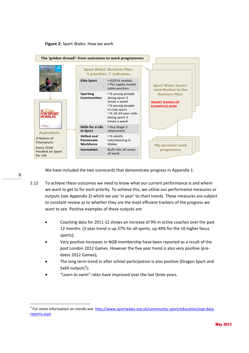



We have included the two scorecards that demonstrate progress in Appendix 1.

- 2.12 To achieve these outcomes we need to know what our current performance is and where we want to get to for each priority. To achieve this, we utilise our performance measures or outputs (see Appendix 2) which we use 'in year' to chart trends. These measures are subject to constant review as to whether they are the most efficient trackers of the progress we want to see. Positive examples of these outputs are:
	- Coaching data for 2011-12 shows an increase of 9% in active coaches over the past 12 months. (3 year trend is up 37% for all sports; up 49% for the 10 higher focus sports);
	- Very positive increases in NGB membership have been reported as a result of the post London 2012 Games. However the five year trend is also very positive (predates 2012 Games);
	- The long term trend in after school participation is also positive (Dragon Sport and 5x60 outputs $3$ );
	- "Learn to swim" rates have improved over the last three years.

 $\overline{a}$ 

<sup>&</sup>lt;sup>3</sup> For more information on trends see: [http://www.sportwales.org.uk/community-sport/education/ayp-data](http://www.sportwales.org.uk/community-sport/education/ayp-data-reports.aspx)[reports.aspx](http://www.sportwales.org.uk/community-sport/education/ayp-data-reports.aspx)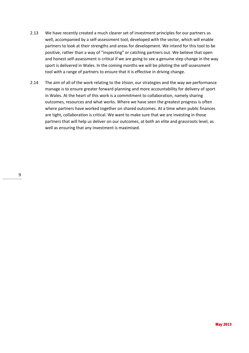- 2.13 We have recently created a much clearer set of investment principles for our partners as well, accompanied by a self-assessment tool, developed with the sector, which will enable partners to look at their strengths and areas for development. We intend for this tool to be positive, rather than a way of "inspecting" or catching partners out. We believe that open and honest self-assessment is critical if we are going to see a genuine step change in the way sport is delivered in Wales. In the coming months we will be piloting the self-assessment tool with a range of partners to ensure that it is effective in driving change.
- 2.14 The aim of all of the work relating to the *Vision*, our strategies and the way we performance manage is to ensure greater forward planning and more accountability for delivery of sport in Wales. At the heart of this work is a commitment to collaboration, namely sharing outcomes, resources and what works. Where we have seen the greatest progress is often where partners have worked together on shared outcomes. At a time when public finances are tight, collaboration is critical. We want to make sure that we are investing in those partners that will help us deliver on our outcomes, at both an elite and grassroots level, as well as ensuring that any investment is maximised.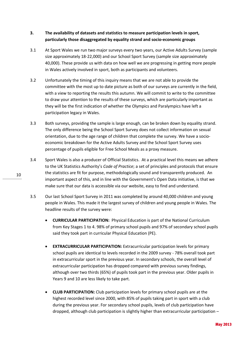## **3. The availability of datasets and statistics to measure participation levels in sport, particularly those disaggregated by equality strand and socio-economic groups**

- 3.1 At Sport Wales we run two major surveys every two years, our Active Adults Survey (sample size approximately 18-22,000) and our School Sport Survey (sample size approximately 40,000). These provide us with data on how well we are progressing in getting more people in Wales actively involved in sport, both as participants and volunteers.
- 3.2 Unfortunately the timing of this inquiry means that we are not able to provide the committee with the most up to date picture as both of our surveys are currently in the field, with a view to reporting the results this autumn. We will commit to write to the committee to draw your attention to the results of these surveys, which are particularly important as they will be the first indication of whether the Olympics and Paralympics have left a participation legacy in Wales.
- 3.3 Both surveys, providing the sample is large enough, can be broken down by equality strand. The only difference being the School Sport Survey does not collect information on sexual orientation, due to the age range of children that complete the survey. We have a socioeconomic breakdown for the Active Adults Survey and the School Sport Survey uses percentage of pupils eligible for Free School Meals as a proxy measure.
- 3.4 Sport Wales is also a producer of Official Statistics. At a practical level this means we adhere to the UK Statistics Authority's *Code of Practice*; a set of principles and protocols that ensure the statistics are fit for purpose, methodologically sound and transparently produced. An important aspect of this, and in line with the Government's Open Data initiative, is that we make sure that our data is accessible via our website, easy to find and understand.
- 3.5 Our last School Sport Survey in 2011 was completed by around 40,000 children and young people in Wales. This made it the largest survey of children and young people in Wales. The headline results of the survey were:
	- **CURRICULAR PARTICIPATION:** Physical Education is part of the National Curriculum from Key Stages 1 to 4. 98% of primary school pupils and 97% of secondary school pupils said they took part in curricular Physical Education (PE).
	- **EXTRACURRICULAR PARTICIPATION:** Extracurricular participation levels for primary school pupils are identical to levels recorded in the 2009 survey - 78% overall took part in extracurricular sport in the previous year. In secondary schools, the overall level of extracurricular participation has dropped compared with previous survey findings, although over two thirds (65%) of pupils took part in the previous year. Older pupils in Years 9 and 10 are less likely to take part.
	- **CLUB PARTICIPATION:** Club participation levels for primary school pupils are at the highest recorded level since 2000, with 85% of pupils taking part in sport with a club during the previous year. For secondary school pupils, levels of club participation have dropped, although club participation is slightly higher than extracurricular participation –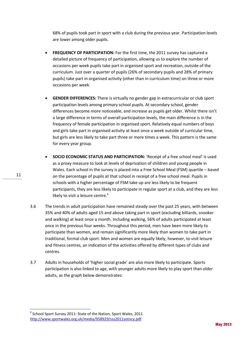68% of pupils took part in sport with a club during the previous year. Participation levels are lower among older pupils.

- **FREQUENCY OF PARTICIPATION:** For the first time, the 2011 survey has captured a detailed picture of frequency of participation, allowing us to explore the number of occasions per week pupils take part in organised sport and recreation, outside of the curriculum. Just over a quarter of pupils (26% of secondary pupils and 28% of primary pupils) take part in organised activity (other than in curriculum time) on three or more occasions per week.
- **GENDER DIFFERENCES:** There is virtually no gender gap in extracurricular or club sport participation levels among primary school pupils. At secondary school, gender differences become more noticeable, and increase as pupils get older. Whilst there isn't a large difference in terms of overall participation levels, the main difference is in the frequency of female participation in organised sport. Relatively equal numbers of boys and girls take part in organised activity at least once a week outside of curricular time, but girls are less likely to take part three or more times a week. This pattern is the same for every year group.
- **SOCIO ECONOMIC STATUS AND PARTICIPATION:** 'Receipt of a free school meal' is used as a proxy measure to look at levels of deprivation of children and young people in Wales. Each school in the survey is placed into a Free School Meal (FSM) quartile – based on the percentage of pupils at that school in receipt of a free school meal. Pupils in schools with a higher percentage of FSM take up are less likely to be frequent participants, they are less likely to participate in regular sport at a club, and they are less likely to visit a leisure centre. $4$
- 3.6 The trends in adult participation have remained steady over the past 25 years, with between 35% and 40% of adults aged 15 and above taking part in sport (excluding billiards, snooker and walking) at least once a month. Including walking, 56% of adults participated at least once in the previous four weeks. Throughout this period, men have been more likely to participate than women, and remain significantly more likely than women to take part in traditional, formal club sport. Men and women are equally likely, however, to visit leisure and fitness centres, an indication of the activities offered by different types of clubs and centres.
- 3.7 Adults in households of 'higher social grade' are also more likely to participate. Sports participation is also linked to age, with younger adults more likely to play sport than older adults, as the graph below demonstrates:

1

May 2013

<sup>&</sup>lt;sup>4</sup> School Sport Survey 2011: State of the Nation, Sport Wales, 2011 <http://www.sportwales.org.uk/media/958929/sss2011sotncy.pdf>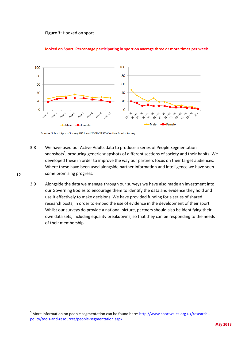**Figure 3:** Hooked on sport



#### Hooked on Sport: Percentage participating in sport on average three or more times per week

- 3.8 We have used our Active Adults data to produce a series of People Segmentation snapshots<sup>5</sup>, producing generic snapshots of different sections of society and their habits. We developed these in order to improve the way our partners focus on their target audiences. Where these have been used alongside partner information and intelligence we have seen some promising progress.
- 3.9 Alongside the data we manage through our surveys we have also made an investment into our Governing Bodies to encourage them to identify the data and evidence they hold and use it effectively to make decisions. We have provided funding for a series of shared research posts, in order to embed the use of evidence in the development of their sport. Whilst our surveys do provide a national picture, partners should also be identifying their own data sets, including equality breakdowns, so that they can be responding to the needs of their membership.

12

Source: School Sports Survey 2011 and 2008-09 SCW Active Adults Survey

<sup>&</sup>lt;sup>5</sup> More information on people segmentation can be found here: [http://www.sportwales.org.uk/research-](http://www.sportwales.org.uk/research--policy/tools-and-resources/people-segmentation.aspx) [policy/tools-and-resources/people-segmentation.aspx](http://www.sportwales.org.uk/research--policy/tools-and-resources/people-segmentation.aspx)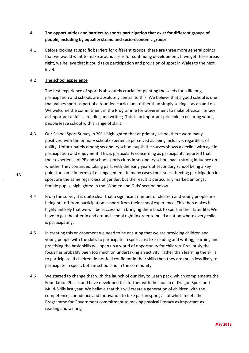# **4. The opportunities and barriers to sports participation that exist for different groups of people, including by equality strand and socio-economic groups**

4.1 Before looking at specific barriers for different groups, there are three more general points that we would want to make around areas for continuing development. If we get these areas right, we believe that it could take participation and provision of sport in Wales to the next level.

## 4.2 **The school experience**

The first experience of sport is absolutely crucial for planting the seeds for a lifelong participation and schools are absolutely central to this. We believe that a good school is one that values sport as part of a rounded curriculum, rather than simply seeing it as an add on. We welcome the commitment in the Programme for Government to make physical literacy as important a skill as reading and writing. This is an important principle in ensuring young people leave school with a range of skills.

- 4.3 Our School Sport Survey in 2011 highlighted that at primary school there were many positives, with the primary school experience perceived as being inclusive, regardless of ability. Unfortunately among secondary school pupils the survey shows a decline with age in participation and enjoyment. This is particularly concerning as participants reported that their experience of PE and school sports clubs in secondary school had a strong influence on whether they continued taking part, with the early years at secondary school being a key point for some in terms of disengagement. In many cases the issues affecting participation in sport are the same regardless of gender, but the result is particularly marked amongst female pupils, highlighted in the 'Women and Girls' section below.
- 4.4 From the survey it is quite clear that a significant number of children and young people are being put off from participation in sport from their school experience. This then makes it highly unlikely that we will be successful in bringing them back to sport in their later life. We have to get the offer in and around school right in order to build a nation where every child is participating.
- 4.5 In creating this environment we need to be ensuring that we are providing children and young people with the skills to participate in sport. Just like reading and writing, learning and practising the basic skills will open up a world of opportunity for children. Previously the focus has probably been too much on undertaking an activity, rather than learning the skills to participate. If children do not feel confident in their skills then they are much less likely to participate in sport, both in school and in the community.
- 4.6 We started to change that with the launch of our Play to Learn pack, which complements the Foundation Phase, and have developed this further with the launch of Dragon Sport and Multi-Skills last year. We believe that this will create a generation of children with the competence, confidence and motivation to take part in sport, all of which meets the Programme for Government commitment to making physical literacy as important as reading and writing.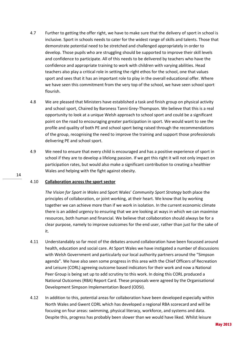- 4.7 Further to getting the offer right, we have to make sure that the delivery of sport in school is inclusive. Sport in schools needs to cater for the widest range of skills and talents. Those that demonstrate potential need to be stretched and challenged appropriately in order to develop. Those pupils who are struggling should be supported to improve their skill levels and confidence to participate. All of this needs to be delivered by teachers who have the confidence and appropriate training to work with children with varying abilities. Head teachers also play a critical role in setting the right ethos for the school, one that values sport and sees that it has an important role to play in the overall educational offer. Where we have seen this commitment from the very top of the school, we have seen school sport flourish.
- 4.8 We are pleased that Ministers have established a task and finish group on physical activity and school sport, Chaired by Baroness Tanni Grey-Thompson. We believe that this is a real opportunity to look at a unique Welsh approach to school sport and could be a significant point on the road to encouraging greater participation in sport. We would want to see the profile and quality of both PE and school sport being raised through the recommendations of the group, recognising the need to improve the training and support those professionals delivering PE and school sport.
- 4.9 We need to ensure that every child is encouraged and has a positive experience of sport in school if they are to develop a lifelong passion. If we get this right it will not only impact on participation rates, but would also make a significant contribution to creating a healthier Wales and helping with the fight against obesity.

#### 4.10 **Collaboration across the sport sector**

*The Vision for Sport in Wales* and Sport Wales' *Community Sport Strategy* both place the principles of collaboration, or joint working, at their heart. We know that by working together we can achieve more than if we work in isolation. In the current economic climate there is an added urgency to ensuring that we are looking at ways in which we can maximise resources, both human and financial. We believe that collaboration should always be for a clear purpose, namely to improve outcomes for the end user, rather than just for the sake of it.

- 4.11 Understandably so far most of the debates around collaboration have been focussed around health, education and social care. At Sport Wales we have instigated a number of discussions with Welsh Government and particularly our local authority partners around the "Simpson agenda". We have also seen some progress in this area with the Chief Officers of Recreation and Leisure (CORL) agreeing outcome based indicators for their work and now a National Peer Group is being set up to add scrutiny to this work. In doing this CORL produced a National Outcomes (RBA) Report Card. These proposals were agreed by the Organisational Development Simpson Implementation Board (ODSI).
- 4.12 In addition to this, potential areas for collaboration have been developed especially within North Wales and Gwent CORL which has developed a regional RBA scorecard and will be focusing on four areas: swimming, physical literacy, workforce, and systems and data. Despite this, progress has probably been slower than we would have liked. Whilst leisure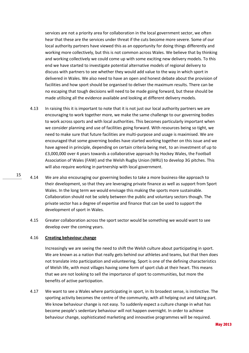services are not a priority area for collaboration in the local government sector, we often hear that these are the services under threat if the cuts become more severe. Some of our local authority partners have viewed this as an opportunity for doing things differently and working more collectively, but this is not common across Wales. We believe that by thinking and working collectively we could come up with some exciting new delivery models. To this end we have started to investigate potential alternative models of regional delivery to discuss with partners to see whether they would add value to the way in which sport in delivered in Wales. We also need to have an open and honest debate about the provision of facilities and how sport should be organised to deliver the maximum results. There can be no escaping that tough decisions will need to be made going forward, but these should be made utilising all the evidence available and looking at different delivery models.

- 4.13 In raising this it is important to note that it is not just our local authority partners we are encouraging to work together more, we make the same challenge to our governing bodies to work across sports and with local authorities. This becomes particularly important when we consider planning and use of facilities going forward. With resources being so tight, we need to make sure that future facilities are multi-purpose and usage is maximised. We are encouraged that some governing bodies have started working together on this issue and we have agreed in principle, depending on certain criteria being met, to an investment of up to £3,000,000 over 4 years towards a collaborative approach by Hockey Wales, the Football Association of Wales (FAW) and the Welsh Rugby Union (WRU) to develop 3G pitches. This will also require working in partnership with local government.
- 4.14 We are also encouraging our governing bodies to take a more business-like approach to their development, so that they are leveraging private finance as well as support from Sport Wales. In the long term we would envisage this making the sports more sustainable. Collaboration should not be solely between the public and voluntary sectors though. The private sector has a degree of expertise and finance that can be used to support the development of sport in Wales.
	- 4.15 Greater collaboration across the sport sector would be something we would want to see develop over the coming years.

#### 4.16 **Creating behaviour change**

Increasingly we are seeing the need to shift the Welsh culture about participating in sport. We are known as a nation that really gets behind our athletes and teams, but that then does not translate into participation and volunteering. Sport is one of the defining characteristics of Welsh life, with most villages having some form of sport club at their heart. This means that we are not looking to sell the importance of sport to communities, but more the benefits of active participation.

4.17 We want to see a Wales where participating in sport, in its broadest sense, is instinctive. The sporting activity becomes the centre of the community, with all helping out and taking part. We know behaviour change is not easy. To suddenly expect a culture change in what has become people's sedentary behaviour will not happen overnight. In order to achieve behaviour change, sophisticated marketing and innovative programmes will be required.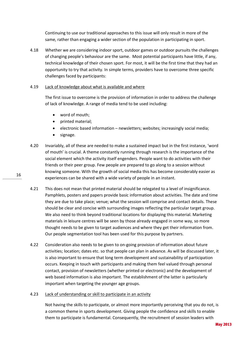Continuing to use our traditional approaches to this issue will only result in more of the same, rather than engaging a wider section of the population in participating in sport.

4.18 Whether we are considering indoor sport, outdoor games or outdoor pursuits the challenges of changing people's behaviour are the same. Most potential participants have little, if any, technical knowledge of their chosen sport. For most, it will be the first time that they had an opportunity to try that activity. In simple terms, providers have to overcome three specific challenges faced by participants:

#### 4.19 Lack of knowledge about what is available and where

The first issue to overcome is the provision of information in order to address the challenge of lack of knowledge. A range of media tend to be used including:

- word of mouth;
- printed material;
- electronic based information newsletters; websites; increasingly social media;
- signage.
- 4.20 Invariably, all of these are needed to make a sustained impact but in the first instance, 'word of mouth' is crucial. A theme constantly running through research is the importance of the social element which the activity itself engenders. People want to do activities with their friends or their peer group. Few people are prepared to go along to a session without knowing someone. With the growth of social media this has become considerably easier as experiences can be shared with a wide variety of people in an instant.
- 4.21 This does not mean that printed material should be relegated to a level of insignificance. Pamphlets, posters and papers provide basic information about activities. The date and time they are due to take place; venue; what the session will comprise and contact details. These should be clear and concise with surrounding images reflecting the particular target group. We also need to think beyond traditional locations for displaying this material. Marketing materials in leisure centres will be seen by those already engaged in some way, so more thought needs to be given to target audiences and where they get their information from. Our people segmentation tool has been used for this purpose by partners.
- 4.22 Consideration also needs to be given to on-going provision of information about future activities; location; dates etc. so that people can plan in advance. As will be discussed later, it is also important to ensure that long term development and sustainability of participation occurs. Keeping in touch with participants and making them feel valued through personal contact, provision of newsletters (whether printed or electronic) and the development of web based information is also important. The establishment of the latter is particularly important when targeting the younger age groups.

#### 4.23 Lack of understanding or skill to participate in an activity

Not having the skills to participate, or almost more importantly perceiving that you do not, is a common theme in sports development. Giving people the confidence and skills to enable them to participate is fundamental. Consequently, the recruitment of session leaders with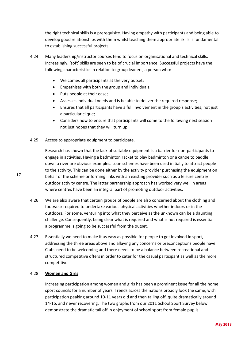the right technical skills is a prerequisite. Having empathy with participants and being able to develop good relationships with them whilst teaching them appropriate skills is fundamental to establishing successful projects.

- 4.24 Many leadership/instructor courses tend to focus on organisational and technical skills. Increasingly, 'soft' skills are seen to be of crucial importance. Successful projects have the following characteristics in relation to group leaders, a person who:
	- Welcomes all participants at the very outset;
	- Empathises with both the group and individuals;
	- Puts people at their ease;
	- Assesses individual needs and is be able to deliver the required response;
	- Ensures that all participants have a full involvement in the group's activities, not just a particular clique;
	- Considers how to ensure that participants will come to the following next session not just hopes that they will turn up.

#### 4.25 Access to appropriate equipment to participate.

Research has shown that the lack of suitable equipment is a barrier for non-participants to engage in activities. Having a badminton racket to play badminton or a canoe to paddle down a river are obvious examples. Loan schemes have been used initially to attract people to the activity. This can be done either by the activity provider purchasing the equipment on behalf of the scheme or forming links with an existing provider such as a leisure centre/ outdoor activity centre. The latter partnership approach has worked very well in areas where centres have been an integral part of promoting outdoor activities.

- 4.26 We are also aware that certain groups of people are also concerned about the clothing and footwear required to undertake various physical activities whether indoors or in the outdoors. For some, venturing into what they perceive as the unknown can be a daunting challenge. Consequently, being clear what is required and what is not required is essential if a programme is going to be successful from the outset.
- 4.27 Essentially we need to make it as easy as possible for people to get involved in sport, addressing the three areas above and allaying any concerns or preconceptions people have. Clubs need to be welcoming and there needs to be a balance between recreational and structured competitive offers in order to cater for the casual participant as well as the more competitive.

## 4.28 **Women and Girls**

Increasing participation among women and girls has been a prominent issue for all the home sport councils for a number of years. Trends across the nations broadly look the same, with participation peaking around 10-11 years old and then tailing off, quite dramatically around 14-16, and never recovering. The two graphs from our 2011 School Sport Survey below demonstrate the dramatic tail off in enjoyment of school sport from female pupils.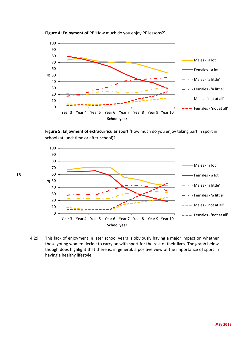

**Figure 4: Enjoyment of PE** 'How much do you enjoy PE lessons?'

**Figure 5: Enjoyment of extracurricular sport '**How much do you enjoy taking part in sport in school (at lunchtime or after-school)?'



4.29 This lack of enjoyment in later school years is obviously having a major impact on whether these young women decide to carry on with sport for the rest of their lives. The graph below though does highlight that there is, in general, a positive view of the importance of sport in having a healthy lifestyle.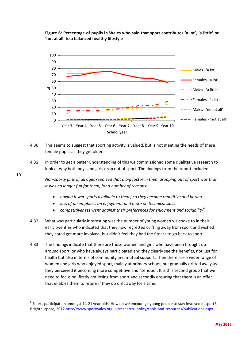**Figure 6: Percentage of pupils in Wales who said that sport contributes 'a lot', 'a little' or 'not at all' to a balanced healthy lifestyle** 



- 4.30 This seems to suggest that sporting activity is valued, but is not meeting the needs of these female pupils as they get older.
- 4.31 In order to get a better understanding of this we commissioned some qualitative research to look at why both boys and girls drop out of sport. The findings from the report included:

*Non-sporty girls of all ages reported that a big factor in them dropping out of sport was that it was no longer fun for them, for a number of reasons:*

- *having fewer sports available to them, so they became repetitive and boring*
- *less of an emphasis on enjoyment and more on technical skills*
- *competitiveness went against their preferences for enjoyment and sociability<sup>6</sup>*
- 4.32 What was particularly interesting was the number of young women we spoke to in their early twenties who indicated that they now regretted drifting away from sport and wished they could get more involved, but didn't feel they had the fitness to go back to sport.
- 4.33 The findings indicate that there are those women and girls who have been brought up around sport, or who have always participated and they clearly see the benefits, not just for health but also in terms of community and mutual support. Then there are a wider range of women and girls who enjoyed sport, mainly at primary school, but gradually drifted away as they perceived it becoming more competitive and "serious". It is this second group that we need to focus on, firstly not losing from sport and secondly ensuring that there is an offer that enables them to return if they do drift away for a time.

19

**.** 

 $^6$  Sports participation amongst 14-21 year olds: How do we encourage young people to stay involved in sport?, Brightpurpose, 2012<http://www.sportwales.org.uk/research--policy/tools-and-resources/publications.aspx>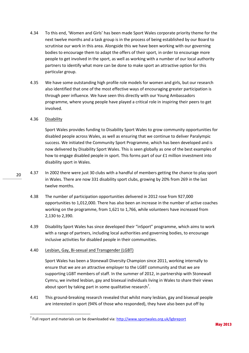- 4.34 To this end, 'Women and Girls' has been made Sport Wales corporate priority theme for the next twelve months and a task group is in the process of being established by our Board to scrutinise our work in this area. Alongside this we have been working with our governing bodies to encourage them to adapt the offers of their sport, in order to encourage more people to get involved in the sport, as well as working with a number of our local authority partners to identify what more can be done to make sport an attractive option for this particular group.
- 4.35 We have some outstanding high profile role models for women and girls, but our research also identified that one of the most effective ways of encouraging greater participation is through peer influence. We have seen this directly with our Young Ambassadors programme, where young people have played a critical role in inspiring their peers to get involved.

## 4.36 Disability

Sport Wales provides funding to Disability Sport Wales to grow community opportunities for disabled people across Wales, as well as ensuring that we continue to deliver Paralympic success. We initiated the Community Sport Programme, which has been developed and is now delivered by Disability Sport Wales. This is seen globally as one of the best examples of how to engage disabled people in sport. This forms part of our £1 million investment into disability sport in Wales.

- 4.37 In 2002 there were just 30 clubs with a handful of members getting the chance to play sport in Wales. There are now 331 disability sport clubs, growing by 20% from 269 in the last twelve months.
	- 4.38 The number of participation opportunities delivered in 2012 rose from 927,000 opportunities to 1,012,000. There has also been an increase in the number of active coaches working on the programme, from 1,621 to 1,766, while volunteers have increased from 2,130 to 2,390.
	- 4.39 Disability Sport Wales has since developed their "inSport" programme, which aims to work with a range of partners, including local authorities and governing bodies, to encourage inclusive activities for disabled people in their communities.

## 4.40 Lesbian, Gay, Bi-sexual and Transgender (LGBT)

Sport Wales has been a Stonewall Diversity Champion since 2011, working internally to ensure that we are an attractive employer to the LGBT community and that we are supporting LGBT members of staff. In the summer of 2012, in partnership with Stonewall Cymru, we invited lesbian, gay and bisexual individuals living in Wales to share their views about sport by taking part in some qualitative research<sup>7</sup>.

4.41 This ground-breaking research revealed that whilst many lesbian, gay and bisexual people are interested in sport (94% of those who responded), they have also been put off by

 $\overline{a}$ 

<sup>&</sup>lt;sup>7</sup> Full report and materials can be downloaded via[: http://www.sportwales.org.uk/lgbreport](http://www.sportwales.org.uk/lgbreport)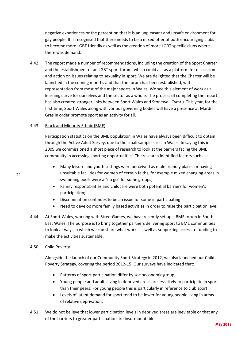negative experiences or the perception that it is an unpleasant and unsafe environment for gay people. It is recognised that there needs to be a mixed offer of both encouraging clubs to become more LGBT friendly as well as the creation of more LGBT specific clubs where there was demand.

4.42 The report made a number of recommendations, including the creation of the Sport Charter and the establishment of an LGBT sport forum, which could act as a platform for discussion and action on issues relating to sexuality in sport. We are delighted that the Charter will be launched in the coming months and that the forum has been established, with representation from most of the major sports in Wales. We see this element of work as a learning curve for ourselves and the sector as a whole. The process of completing the report has also created stronger links between Sport Wales and Stonewall Cymru. This year, for the first time, Sport Wales along with various governing bodies will have a presence at Mardi Gras in order promote sport as an activity for all.

#### 4.43 Black and Minority Ethnic (BME)

Participation statistics on the BME population in Wales have always been difficult to obtain through the Active Adult Survey, due to the small sample sizes in Wales. In saying this in 2009 we commissioned a short piece of research to look at the barriers facing the BME community in accessing sporting opportunities. The research identified factors such as:

- Many leisure and youth settings were perceived as male friendly places or having unsuitable facilities for women of certain faiths, for example mixed changing areas in swimming pools were a "no go" for some groups;
- Family responsibilities and childcare were both potential barriers for women's participation;
- Discrimination continues to be an issue for some in participating
- Need to develop more family based activities in order to raise the participation level
- 4.44 At Sport Wales, working with StreetGames, we have recently set up a BME forum in South East Wales. The purpose is to bring together partners delivering sport to BME communities to look at ways in which we can share what works as well as supporting access to funding to make the activities sustainable.

#### 4.50 Child Poverty

Alongside the launch of our Community Sport Strategy in 2012, we also launched our Child Poverty Strategy, covering the period 2012-15. Our surveys have indicated that:

- Patterns of sport participation differ by socioeconomic group;
- Young people and adults living in deprived areas are less likely to participate in sport than their peers. For young people this is particularly in reference to club sport;
- Levels of latent demand for sport tend to be lower for young people living in areas of relative deprivation.
- 4.51 We do not believe that lower participation levels in deprived areas are inevitable or that any of the barriers to greater participation are insurmountable.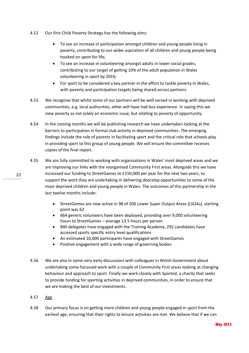- 4.52 Our first Child Poverty Strategy has the following aims:
	- To see an increase in participation amongst children and young people living in poverty, contributing to our wider aspiration of all children and young people being hooked on sport for life;
	- To see an increase in volunteering amongst adults in lower social grades, contributing to our target of getting 10% of the adult population in Wales volunteering in sport by 2016;
	- For sport to be considered a key partner in the effort to tackle poverty in Wales, with poverty and participation targets being shared across partners.
- 4.53 We recognise that whilst some of our partners will be well versed in working with deprived communities, e.g. local authorities, other will have had less experience. In saying this we view poverty as not solely an economic issue, but relating to poverty of opportunity.
- 4.54 In the coming months we will be publishing research we have undertaken looking at the barriers to participation in formal club activity in deprived communities. The emerging findings include the role of parents in facilitating sport and the critical role that schools play in providing sport to this group of young people. We will ensure the committee receives copies of the final report.
- 4.55 We are fully committed to working with organisations in Wales' most deprived areas and we are improving our links with the reorganised Community First areas. Alongside this we have increased our funding to StreetGames to £150,000 per year for the next two years, to support the work they are undertaking in delivering doorstep opportunities to some of the most deprived children and young people in Wales. The outcomes of this partnership in the last twelve months include:
	- StreetGames are now active in 98 of 200 Lower Super Output Areas (LSOAs), starting point was 62
	- 664 generic volunteers have been deployed, providing over 9,000 volunteering hours to StreetGames – average 13.5 hours per person
	- 840 delegates have engaged with the Training Academy; 292 candidates have accessed sports specific entry level qualifications
	- An estimated 10,000 participants have engaged with StreetGames
	- Positive engagement with a wide range of governing bodies
- 4.56 We are also in some very early discussions with colleagues in Welsh Government about undertaking some focussed work with a couple of Community First areas looking at changing behaviour and approach to sport. Finally we work closely with Sported, a charity that seeks to provide funding for sporting activities in deprived communities, in order to ensure that we are making the best of our investments.
- 4.57 Age
- 4.58 Our primary focus is on getting more children and young people engaged in sport from the earliest age, ensuring that their rights to leisure activities are met. We believe that if we can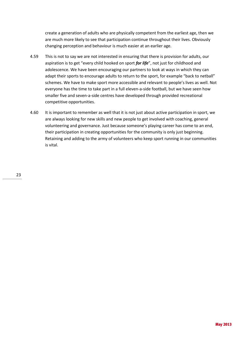create a generation of adults who are physically competent from the earliest age, then we are much more likely to see that participation continue throughout their lives. Obviously changing perception and behaviour is much easier at an earlier age.

- 4.59 This is not to say we are not interested in ensuring that there is provision for adults, our aspiration is to get "every child hooked on sport *for life*", not just for childhood and adolescence. We have been encouraging our partners to look at ways in which they can adapt their sports to encourage adults to return to the sport, for example "back to netball" schemes. We have to make sport more accessible and relevant to people's lives as well. Not everyone has the time to take part in a full eleven-a-side football, but we have seen how smaller five and seven-a-side centres have developed through provided recreational competitive opportunities.
- 4.60 It is important to remember as well that it is not just about active participation in sport, we are always looking for new skills and new people to get involved with coaching, general volunteering and governance. Just because someone's playing career has come to an end, their participation in creating opportunities for the community is only just beginning. Retaining and adding to the army of volunteers who keep sport running in our communities is vital.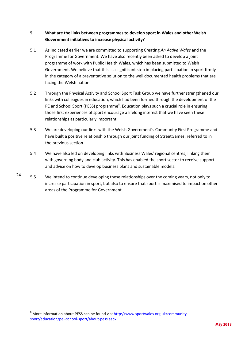## **5 What are the links between programmes to develop sport in Wales and other Welsh Government initiatives to increase physical activity?**

- 5.1 As indicated earlier we are committed to supporting Creating *An Active Wales* and the Programme for Government. We have also recently been asked to develop a joint programme of work with Public Health Wales, which has been submitted to Welsh Government. We believe that this is a significant step in placing participation in sport firmly in the category of a preventative solution to the well documented health problems that are facing the Welsh nation.
- 5.2 Through the Physical Activity and School Sport Task Group we have further strengthened our links with colleagues in education, which had been formed through the development of the PE and School Sport (PESS) programme<sup>8</sup>. Education plays such a crucial role in ensuring those first experiences of sport encourage a lifelong interest that we have seen these relationships as particularly important.
- 5.3 We are developing our links with the Welsh Government's Community First Programme and have built a positive relationship through our joint funding of StreetGames, referred to in the previous section.
- 5.4 We have also led on developing links with Business Wales' regional centres, linking them with governing body and club activity. This has enabled the sport sector to receive support and advice on how to develop business plans and sustainable models.
- 5.5 We intend to continue developing these relationships over the coming years, not only to increase participation in sport, but also to ensure that sport is maximised to impact on other areas of the Programme for Government.

1

May 2013

<sup>&</sup>lt;sup>8</sup> More information about PESS can be found via: [http://www.sportwales.org.uk/community](http://www.sportwales.org.uk/community-sport/education/pe--school-sport/about-pess.aspx)[sport/education/pe--school-sport/about-pess.aspx](http://www.sportwales.org.uk/community-sport/education/pe--school-sport/about-pess.aspx)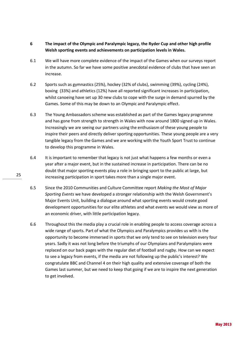- **6 The impact of the Olympic and Paralympic legacy, the Ryder Cup and other high profile Welsh sporting events and achievements on participation levels in Wales.**
- 6.1 We will have more complete evidence of the impact of the Games when our surveys report in the autumn. So far we have some positive anecdotal evidence of clubs that have seen an increase.
- 6.2 Sports such as gymnastics (25%), hockey (32% of clubs), swimming (39%), cycling (24%), boxing (33%) and athletics (12%) have all reported significant increases in participation, whilst canoeing have set up 30 new clubs to cope with the surge in demand spurred by the Games. Some of this may be down to an Olympic and Paralympic effect.
- 6.3 The Young Ambassadors scheme was established as part of the Games legacy programme and has gone from strength to strength in Wales with now around 1800 signed up in Wales. Increasingly we are seeing our partners using the enthusiasm of these young people to inspire their peers and directly deliver sporting opportunities. These young people are a very tangible legacy from the Games and we are working with the Youth Sport Trust to continue to develop this programme in Wales.
- 6.4 It is important to remember that legacy is not just what happens a few months or even a year after a major event, but in the sustained increase in participation. There can be no doubt that major sporting events play a role in bringing sport to the public at large, but increasing participation in sport takes more than a single major event.
- 6.5 Since the 2010 Communities and Culture Committee report *Making the Most of Major Sporting Events* we have developed a stronger relationship with the Welsh Government's Major Events Unit, building a dialogue around what sporting events would create good development opportunities for our elite athletes and what events we would view as more of an economic driver, with little participation legacy.
- 6.6 Throughout this the media play a crucial role in enabling people to access coverage across a wide range of sports. Part of what the Olympics and Paralympics provides us with is the opportunity to become immersed in sports that we only tend to see on television every four years. Sadly it was not long before the triumphs of our Olympians and Paralympians were replaced on our back pages with the regular diet of football and rugby. How can we expect to see a legacy from events, if the media are not following up the public's interest? We congratulate BBC and Channel 4 on their high quality and extensive coverage of both the Games last summer, but we need to keep that going if we are to inspire the next generation to get involved.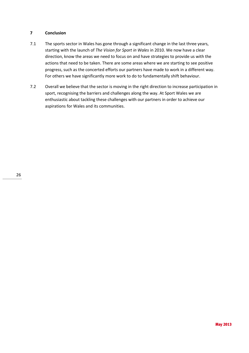## **7 Conclusion**

- 7.1 The sports sector in Wales has gone through a significant change in the last three years, starting with the launch of *The Vision for Sport in Wales* in 2010. We now have a clear direction, know the areas we need to focus on and have strategies to provide us with the actions that need to be taken. There are some areas where we are starting to see positive progress, such as the concerted efforts our partners have made to work in a different way. For others we have significantly more work to do to fundamentally shift behaviour.
- 7.2 Overall we believe that the sector is moving in the right direction to increase participation in sport, recognising the barriers and challenges along the way. At Sport Wales we are enthusiastic about tackling these challenges with our partners in order to achieve our aspirations for Wales and its communities.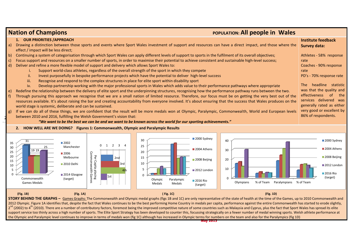|                                                                                                                                                                                                                                                                                                                                                                                                                                                                                                                                                                                                                                                                                                                                                                                                                                                                                                                                                                                                                                                                                                                                                                                                                                                                                                           | <b>Nation of Champions</b><br>POPULATION: All people in Wales                                                                                                                                                                                                                                                                                                                                                                                                                                                                                                                                                                                                                                        |                                                                                                                                                                  |                                                                                   |  |  |  |  |  |  |
|-----------------------------------------------------------------------------------------------------------------------------------------------------------------------------------------------------------------------------------------------------------------------------------------------------------------------------------------------------------------------------------------------------------------------------------------------------------------------------------------------------------------------------------------------------------------------------------------------------------------------------------------------------------------------------------------------------------------------------------------------------------------------------------------------------------------------------------------------------------------------------------------------------------------------------------------------------------------------------------------------------------------------------------------------------------------------------------------------------------------------------------------------------------------------------------------------------------------------------------------------------------------------------------------------------------|------------------------------------------------------------------------------------------------------------------------------------------------------------------------------------------------------------------------------------------------------------------------------------------------------------------------------------------------------------------------------------------------------------------------------------------------------------------------------------------------------------------------------------------------------------------------------------------------------------------------------------------------------------------------------------------------------|------------------------------------------------------------------------------------------------------------------------------------------------------------------|-----------------------------------------------------------------------------------|--|--|--|--|--|--|
| a)                                                                                                                                                                                                                                                                                                                                                                                                                                                                                                                                                                                                                                                                                                                                                                                                                                                                                                                                                                                                                                                                                                                                                                                                                                                                                                        | 1. OUR PRIORITIES / APPROACH                                                                                                                                                                                                                                                                                                                                                                                                                                                                                                                                                                                                                                                                         | Drawing a distinction between those sports and events where Sport Wales investment of support and resources can have a direct impact, and those where the        | <b>Institute feedback</b><br><b>Survey data:</b>                                  |  |  |  |  |  |  |
| effect / impact will be less direct;<br>Continuing a system of categorisation through which Sport Wales can apply different levels of support to sports in the fulfilment of its overall objectives;<br>Athletes - 58% response<br>b<br>Focus support and resources on a smaller number of sports, in order to maximise their potential to achieve consistent and sustainable high-level success;<br>rate<br>C)<br>Deliver and refine a more flexible model of support and delivery which allows Sport Wales to:<br>Coaches - 90% response<br>d)<br>Support world-class athletes, regardless of the overall strength of the sport in which they compete<br>rate<br>ii.<br>Invest purposefully in bespoke performance projects which have the potential to deliver high-level success<br>PD's - 70% response rate<br>iii.<br>Recognise and respond to the complex structures in place for elite sport within disability sport<br>The<br>Develop partnership working with the major professional sports in Wales which adds value to their performance pathways where appropriate<br>iv.<br>was that the quality and<br>Redefine the relationship between the delivery of elite sport and the underpinning structures, recognising how the performance pathway runs between the two.<br>e)<br>effectiveness |                                                                                                                                                                                                                                                                                                                                                                                                                                                                                                                                                                                                                                                                                                      |                                                                                                                                                                  |                                                                                   |  |  |  |  |  |  |
| g)                                                                                                                                                                                                                                                                                                                                                                                                                                                                                                                                                                                                                                                                                                                                                                                                                                                                                                                                                                                                                                                                                                                                                                                                                                                                                                        | Through pursuing this approach we recognise that we are a small nation of limited resource. Therefore, our focus must be on getting the very best out of the<br>$f$ )<br>resources available. It's about raising the bar and creating accountability from everyone involved. It's about ensuring that the success that Wales produces on the<br>generally rated as either<br>world stage is systemic, deliberate and can be sustained.<br>If we can do all of these things, we are confident that the result will be more medals won at Olympic, Paralympic, Commonwealth, World and European levels<br>86% of respondents.<br>between 2010 and 2016, fulfilling the Welsh Government's vision that: |                                                                                                                                                                  |                                                                                   |  |  |  |  |  |  |
|                                                                                                                                                                                                                                                                                                                                                                                                                                                                                                                                                                                                                                                                                                                                                                                                                                                                                                                                                                                                                                                                                                                                                                                                                                                                                                           | 2. HOW WELL ARE WE DOING? Figures 1: Commonwealth, Olympic and Paralympic Results                                                                                                                                                                                                                                                                                                                                                                                                                                                                                                                                                                                                                    | "We want to be the best we can be and we want to be known across the world for our sporting achievements."                                                       |                                                                                   |  |  |  |  |  |  |
| 35<br>30<br>25<br>20<br>15<br>10                                                                                                                                                                                                                                                                                                                                                                                                                                                                                                                                                                                                                                                                                                                                                                                                                                                                                                                                                                                                                                                                                                                                                                                                                                                                          | 31<br>$\blacksquare$ 2002<br>$\overline{2}$<br>$\overline{3}$<br>$0 \quad 1$<br>Manchester<br>19 19<br>Commonwealth<br>■2006<br>Per<br>Melbourne<br>2nd<br>Capita<br>2010 Delhi<br>3rd<br>4th<br>ı placing<br>alth Gamı<br>2014 Glasgow<br>$\vert$ 1st<br>Commonwealth<br>(target)                                                                                                                                                                                                                                                                                                                                                                                                                   | 2000 Sydney<br>30<br>40<br>25<br>2004 Athens<br>30<br>20<br>15<br>2008 Beijing<br>20<br>10<br>10<br>2012 London<br>$\Omega$<br>Paralympic<br>Olympic<br>2016 Rio | 2000 Sydney<br>2004 Athens<br>2008 Beijing<br>2012 London<br>2016 Rio<br>(target) |  |  |  |  |  |  |

> Olympic Medals

 **(Fig. 1B) (Fig. 1A) ( Fig. 1C) (Fig. 1D)**

Olympians % of Team Paralympians % of Team

**STORY BEHIND THE GRAPHS –** Games Graphs: The Commonwealth and Olympic medal graphs (figs 1B and 1C) are only representative of the state of health at the time of the Games, up to 2010 Commonwealth and 2012 Olympic. Figure 1A identifies that, despite the fact that Wales continues to be the best performing Home Country in medals per capita, performance against the entire Commonwealth has started to erode slightly, 2<sup>nd</sup> (2002) to 4<sup>th</sup> (2010). There are a number of contributory factors, foremost being the improved competitive nature of some countries such as Malaysia and Cyprus, plus the fact that Sport Wales has spread its elite support service too thinly across a high number of sports. The Elite Sport Strategy has been developed to counter this, focussing strategically on a fewer number of medal winning sports. Welsh athlete performance at the Olympic and Paralympic level continues to improve in terms of medals won (fig 1C) although has increased in Olympic terms for numbers on the team and also for the Paralympics (fig 1D)

Paralympic Medals

2016 Rio (target)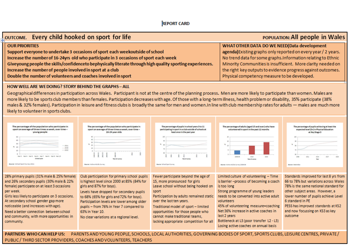# **REPORT CARD**

| OUTCOME. Every child hooked on sport for life<br><b>POPULATION: All people in Wales</b>                   |                                                                |  |  |  |  |
|-----------------------------------------------------------------------------------------------------------|----------------------------------------------------------------|--|--|--|--|
| <b>OUR PRIORITIES</b>                                                                                     | WHAT OTHER DATA DO WE NEED(Data development                    |  |  |  |  |
| Support everyone to undertake 3 occasions of sport each weekoutside of school                             | agenda) Existing graphs only reported on every year / 2 years. |  |  |  |  |
| Increase the number of 16-24yrs old who participate in 3 occasions of sport each week                     | No trend data for some graphs. Information relating to Ethnic  |  |  |  |  |
| Giveyoung people the skills/confidenceto bephysically literate through high quality sporting experiences. | Minority Communities is insufficient. More clarity needed on   |  |  |  |  |
| Increase the number of people involved in sport at a club                                                 | the right key outputs to evidence progress against outcomes.   |  |  |  |  |
| Double the number of volunteers and coaches involved in sport                                             | Physical competency measure to be developed.                   |  |  |  |  |

## HOW WELL ARE WE DOING? STORY BEHIND THE GRAPHS - ALL

Geographical differences in participation across Wales. Participant is not at the centre of the planning process. Men are more likely to participate than women. Males are more likely to be sports club members than females. Participation decreases with age. Of those with a long-term illness, health problem or disability, 35% participate (38%) males & 32% females). Participation in leisure and fitness clubs is broadly the same for men and women. In line with club membership rates for adults - males are much more likely to volunteer in sports clubs.



**PARTNERS WHO CAN HELP US:** PARENTS AND YOUNG PEOPLE, SCHOOLS, LOCAL AUTHORITIES, GOVERNING BODIES OF SPORT, SPORTS CLUBS, LEISURE CENTRES, PRIVATE PUBLIC / THIRD SECTOR PROVIDERS, COACHES AND VOLUNTEERS, TEACHERS